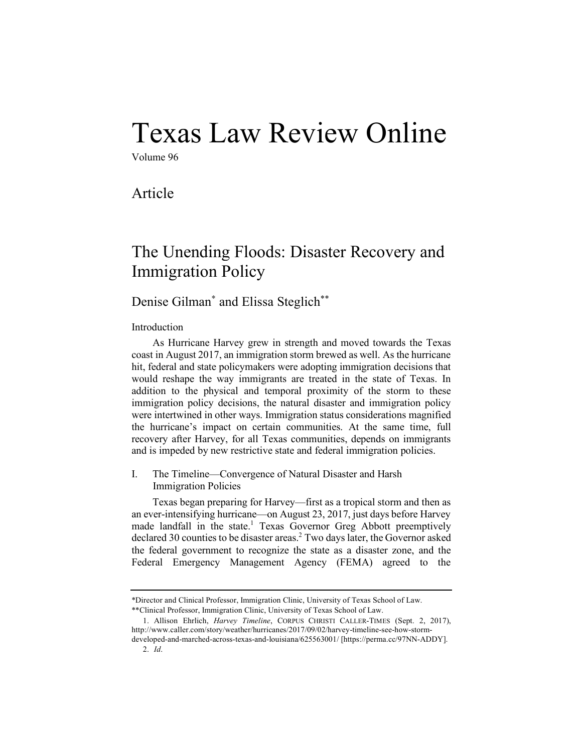# Texas Law Review Online

Volume 96

Article

# The Unending Floods: Disaster Recovery and Immigration Policy

# Denise Gilman\* and Elissa Steglich\*\*

Introduction

As Hurricane Harvey grew in strength and moved towards the Texas coast in August 2017, an immigration storm brewed as well. As the hurricane hit, federal and state policymakers were adopting immigration decisions that would reshape the way immigrants are treated in the state of Texas. In addition to the physical and temporal proximity of the storm to these immigration policy decisions, the natural disaster and immigration policy were intertwined in other ways. Immigration status considerations magnified the hurricane's impact on certain communities. At the same time, full recovery after Harvey, for all Texas communities, depends on immigrants and is impeded by new restrictive state and federal immigration policies.

I. The Timeline—Convergence of Natural Disaster and Harsh Immigration Policies

Texas began preparing for Harvey—first as a tropical storm and then as an ever-intensifying hurricane—on August 23, 2017, just days before Harvey made landfall in the state.<sup>1</sup> Texas Governor Greg Abbott preemptively declared 30 counties to be disaster areas.<sup>2</sup> Two days later, the Governor asked the federal government to recognize the state as a disaster zone, and the Federal Emergency Management Agency (FEMA) agreed to the

<sup>\*</sup>Director and Clinical Professor, Immigration Clinic, University of Texas School of Law. \*\*Clinical Professor, Immigration Clinic, University of Texas School of Law.

<sup>1.</sup> Allison Ehrlich, *Harvey Timeline*, CORPUS CHRISTI CALLER-TIMES (Sept. 2, 2017), http://www.caller.com/story/weather/hurricanes/2017/09/02/harvey-timeline-see-how-stormdeveloped-and-marched-across-texas-and-louisiana/625563001/ [https://perma.cc/97NN-ADDY]. 2. *Id*.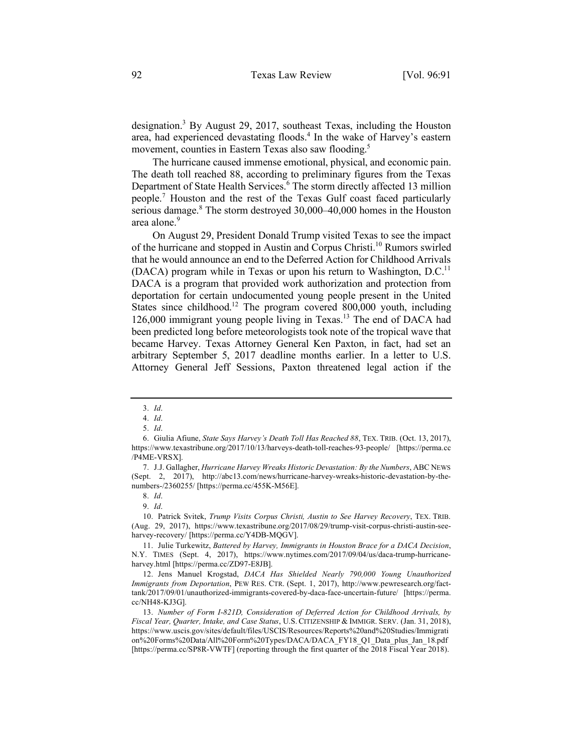designation. <sup>3</sup> By August 29, 2017, southeast Texas, including the Houston area, had experienced devastating floods.<sup>4</sup> In the wake of Harvey's eastern movement, counties in Eastern Texas also saw flooding.<sup>5</sup>

The hurricane caused immense emotional, physical, and economic pain. The death toll reached 88, according to preliminary figures from the Texas Department of State Health Services.<sup>6</sup> The storm directly affected 13 million people.<sup>7</sup> Houston and the rest of the Texas Gulf coast faced particularly serious damage.<sup>8</sup> The storm destroyed 30,000–40,000 homes in the Houston area alone.<sup>9</sup>

On August 29, President Donald Trump visited Texas to see the impact of the hurricane and stopped in Austin and Corpus Christi.<sup>10</sup> Rumors swirled that he would announce an end to the Deferred Action for Childhood Arrivals (DACA) program while in Texas or upon his return to Washington,  $D.C.<sup>11</sup>$ DACA is a program that provided work authorization and protection from deportation for certain undocumented young people present in the United States since childhood.<sup>12</sup> The program covered 800,000 youth, including 126,000 immigrant young people living in Texas.<sup>13</sup> The end of DACA had been predicted long before meteorologists took note of the tropical wave that became Harvey. Texas Attorney General Ken Paxton, in fact, had set an arbitrary September 5, 2017 deadline months earlier. In a letter to U.S. Attorney General Jeff Sessions, Paxton threatened legal action if the

7. J.J. Gallagher, *Hurricane Harvey Wreaks Historic Devastation: By the Numbers*, ABC NEWS (Sept. 2, 2017), http://abc13.com/news/hurricane-harvey-wreaks-historic-devastation-by-thenumbers-/2360255/ [https://perma.cc/455K-M56E].

8. *Id*.

10. Patrick Svitek, *Trump Visits Corpus Christi, Austin to See Harvey Recovery*, TEX. TRIB. (Aug. 29, 2017), https://www.texastribune.org/2017/08/29/trump-visit-corpus-christi-austin-seeharvey-recovery/ [https://perma.cc/Y4DB-MQGV].

<sup>3.</sup> *Id*.

<sup>4.</sup> *Id*.

<sup>5.</sup> *Id*.

<sup>6.</sup> Giulia Afiune, *State Says Harvey's Death Toll Has Reached 88*, TEX. TRIB. (Oct. 13, 2017), https://www.texastribune.org/2017/10/13/harveys-death-toll-reaches-93-people/ [https://perma.cc /P4ME-VRSX].

<sup>9.</sup> *Id*.

<sup>11.</sup> Julie Turkewitz, *Battered by Harvey, Immigrants in Houston Brace for a DACA Decision*, N.Y. TIMES (Sept. 4, 2017), https://www.nytimes.com/2017/09/04/us/daca-trump-hurricaneharvey.html [https://perma.cc/ZD97-E8JB].

<sup>12.</sup> Jens Manuel Krogstad, *DACA Has Shielded Nearly 790,000 Young Unauthorized Immigrants from Deportation*, PEW RES. CTR. (Sept. 1, 2017), http://www.pewresearch.org/facttank/2017/09/01/unauthorized-immigrants-covered-by-daca-face-uncertain-future/ [https://perma. cc/NH48-KJ3G].

<sup>13.</sup> *Number of Form I-821D, Consideration of Deferred Action for Childhood Arrivals, by Fiscal Year, Quarter, Intake, and Case Status*, U.S. CITIZENSHIP & IMMIGR. SERV. (Jan. 31, 2018), https://www.uscis.gov/sites/default/files/USCIS/Resources/Reports%20and%20Studies/Immigrati on%20Forms%20Data/All%20Form%20Types/DACA/DACA\_FY18\_Q1\_Data\_plus\_Jan\_18.pdf [https://perma.cc/SP8R-VWTF] (reporting through the first quarter of the 2018 Fiscal Year 2018).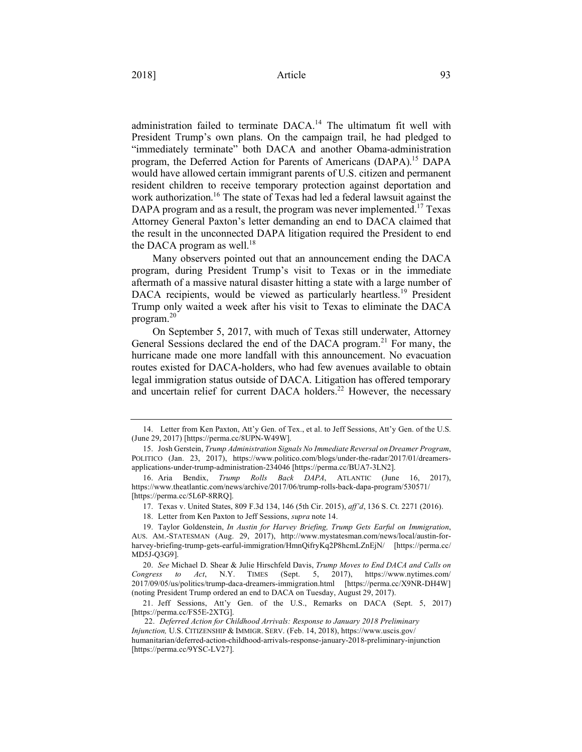administration failed to terminate DACA.<sup>14</sup> The ultimatum fit well with President Trump's own plans. On the campaign trail, he had pledged to "immediately terminate" both DACA and another Obama-administration program, the Deferred Action for Parents of Americans (DAPA).15 DAPA would have allowed certain immigrant parents of U.S. citizen and permanent resident children to receive temporary protection against deportation and work authorization.<sup>16</sup> The state of Texas had led a federal lawsuit against the DAPA program and as a result, the program was never implemented.<sup>17</sup> Texas Attorney General Paxton's letter demanding an end to DACA claimed that the result in the unconnected DAPA litigation required the President to end the DACA program as well. $18$ 

Many observers pointed out that an announcement ending the DACA program, during President Trump's visit to Texas or in the immediate aftermath of a massive natural disaster hitting a state with a large number of DACA recipients, would be viewed as particularly heartless.<sup>19</sup> President Trump only waited a week after his visit to Texas to eliminate the DACA program. 20

On September 5, 2017, with much of Texas still underwater, Attorney General Sessions declared the end of the DACA program.<sup>21</sup> For many, the hurricane made one more landfall with this announcement. No evacuation routes existed for DACA-holders, who had few avenues available to obtain legal immigration status outside of DACA. Litigation has offered temporary and uncertain relief for current DACA holders.<sup>22</sup> However, the necessary

<sup>14.</sup> Letter from Ken Paxton, Att'y Gen. of Tex., et al. to Jeff Sessions, Att'y Gen. of the U.S. (June 29, 2017) [https://perma.cc/8UPN-W49W].

<sup>15.</sup> Josh Gerstein, *Trump Administration Signals No Immediate Reversal on Dreamer Program*, POLITICO (Jan. 23, 2017), https://www.politico.com/blogs/under-the-radar/2017/01/dreamersapplications-under-trump-administration-234046 [https://perma.cc/BUA7-3LN2].

<sup>16.</sup> Aria Bendix, *Trump Rolls Back DAPA*, ATLANTIC (June 16, 2017), https://www.theatlantic.com/news/archive/2017/06/trump-rolls-back-dapa-program/530571/ [https://perma.cc/5L6P-8RRQ].

<sup>17.</sup> Texas v. United States, 809 F.3d 134, 146 (5th Cir. 2015), *aff'd*, 136 S. Ct. 2271 (2016).

<sup>18.</sup> Letter from Ken Paxton to Jeff Sessions, *supra* note 14.

<sup>19.</sup> Taylor Goldenstein, *In Austin for Harvey Briefing, Trump Gets Earful on Immigration*, AUS. AM.-STATESMAN (Aug. 29, 2017), http://www.mystatesman.com/news/local/austin-forharvey-briefing-trump-gets-earful-immigration/HmnQifryKq2P8hcmLZnEjN/ [https://perma.cc/ MD5J-Q3G9].

<sup>20.</sup> *See* Michael D. Shear & Julie Hirschfeld Davis, *Trump Moves to End DACA and Calls on Congress to Act*, N.Y. TIMES (Sept. 5, 2017), https://www.nytimes.com/ 2017/09/05/us/politics/trump-daca-dreamers-immigration.html [https://perma.cc/X9NR-DH4W] (noting President Trump ordered an end to DACA on Tuesday, August 29, 2017).

<sup>21.</sup> Jeff Sessions, Att'y Gen. of the U.S., Remarks on DACA (Sept. 5, 2017) [https://perma.cc/FS5E-2XTG].

<sup>22.</sup> *Deferred Action for Childhood Arrivals: Response to January 2018 Preliminary Injunction,* U.S. CITIZENSHIP & IMMIGR. SERV. (Feb. 14, 2018), https://www.uscis.gov/ humanitarian/deferred-action-childhood-arrivals-response-january-2018-preliminary-injunction [https://perma.cc/9YSC-LV27].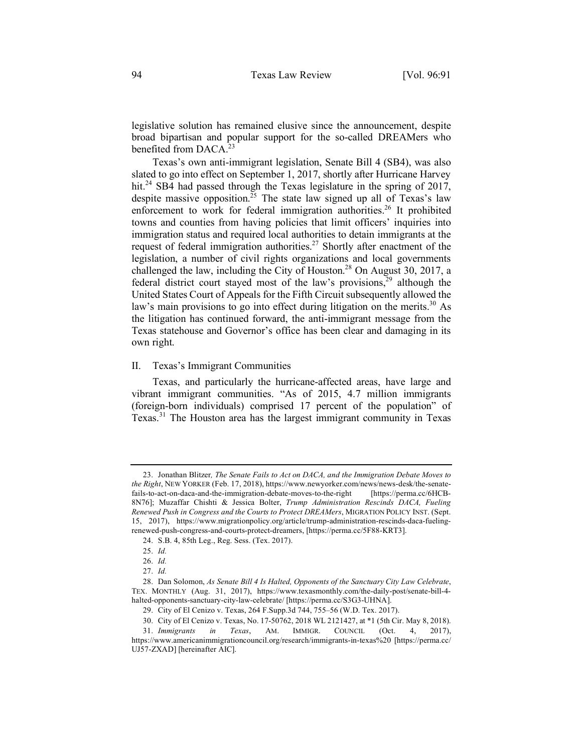legislative solution has remained elusive since the announcement, despite broad bipartisan and popular support for the so-called DREAMers who benefited from DACA.<sup>23</sup>

Texas's own anti-immigrant legislation, Senate Bill 4 (SB4), was also slated to go into effect on September 1, 2017, shortly after Hurricane Harvey hit.<sup>24</sup> SB4 had passed through the Texas legislature in the spring of 2017, despite massive opposition.<sup>25</sup> The state law signed up all of Texas's law enforcement to work for federal immigration authorities.<sup>26</sup> It prohibited towns and counties from having policies that limit officers' inquiries into immigration status and required local authorities to detain immigrants at the request of federal immigration authorities.<sup>27</sup> Shortly after enactment of the legislation, a number of civil rights organizations and local governments challenged the law, including the City of Houston.<sup>28</sup> On August 30, 2017, a federal district court stayed most of the law's provisions, $29$  although the United States Court of Appeals for the Fifth Circuit subsequently allowed the law's main provisions to go into effect during litigation on the merits.<sup>30</sup> As the litigation has continued forward, the anti-immigrant message from the Texas statehouse and Governor's office has been clear and damaging in its own right.

## II. Texas's Immigrant Communities

Texas, and particularly the hurricane-affected areas, have large and vibrant immigrant communities. "As of 2015, 4.7 million immigrants (foreign-born individuals) comprised 17 percent of the population" of Texas.<sup>31</sup> The Houston area has the largest immigrant community in Texas

<sup>23.</sup> Jonathan Blitzer*, The Senate Fails to Act on DACA, and the Immigration Debate Moves to the Right*, NEW YORKER (Feb. 17, 2018), https://www.newyorker.com/news/news-desk/the-senatefails-to-act-on-daca-and-the-immigration-debate-moves-to-the-right [https://perma.cc/6HCB-8N76]; Muzaffar Chishti & Jessica Bolter, *Trump Administration Rescinds DACA, Fueling Renewed Push in Congress and the Courts to Protect DREAMers*, MIGRATION POLICY INST. (Sept. 15, 2017), https://www.migrationpolicy.org/article/trump-administration-rescinds-daca-fuelingrenewed-push-congress-and-courts-protect-dreamers, [https://perma.cc/5F88-KRT3].

<sup>24.</sup> S.B. 4, 85th Leg., Reg. Sess. (Tex. 2017).

<sup>25.</sup> *Id.*

<sup>26.</sup> *Id.*

<sup>27.</sup> *Id.*

<sup>28.</sup> Dan Solomon, *As Senate Bill 4 Is Halted, Opponents of the Sanctuary City Law Celebrate*, TEX. MONTHLY (Aug. 31, 2017), https://www.texasmonthly.com/the-daily-post/senate-bill-4 halted-opponents-sanctuary-city-law-celebrate/ [https://perma.cc/S3G3-UHNA].

<sup>29.</sup> City of El Cenizo v. Texas, 264 F.Supp.3d 744, 755–56 (W.D. Tex. 2017).

<sup>30.</sup> City of El Cenizo v. Texas, No. 17-50762, 2018 WL 2121427, at \*1 (5th Cir. May 8, 2018).

<sup>31.</sup> *Immigrants in Texas*, AM. IMMIGR. COUNCIL (Oct. 4, 2017), https://www.americanimmigrationcouncil.org/research/immigrants-in-texas%20 [https://perma.cc/ UJ57-ZXAD] [hereinafter AIC].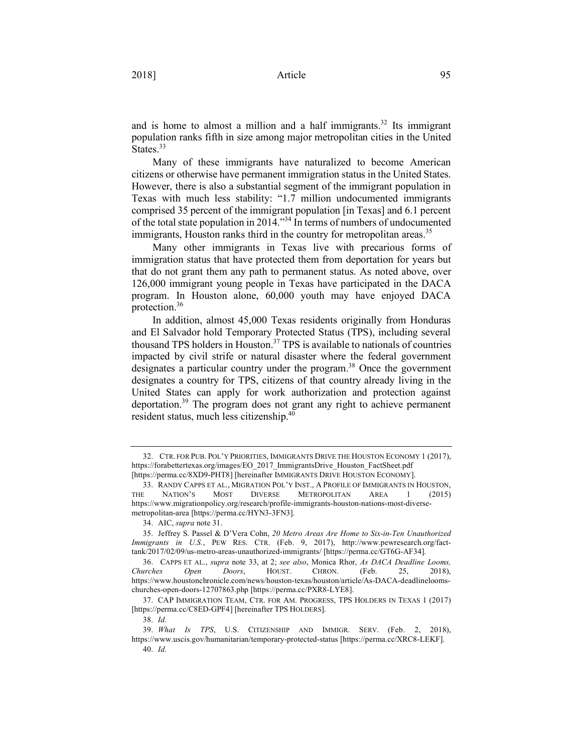and is home to almost a million and a half immigrants.<sup>32</sup> Its immigrant population ranks fifth in size among major metropolitan cities in the United States.<sup>33</sup>

Many of these immigrants have naturalized to become American citizens or otherwise have permanent immigration status in the United States. However, there is also a substantial segment of the immigrant population in Texas with much less stability: "1.7 million undocumented immigrants comprised 35 percent of the immigrant population [in Texas] and 6.1 percent of the total state population in 2014."34 In terms of numbers of undocumented immigrants, Houston ranks third in the country for metropolitan areas.<sup>35</sup>

Many other immigrants in Texas live with precarious forms of immigration status that have protected them from deportation for years but that do not grant them any path to permanent status. As noted above, over 126,000 immigrant young people in Texas have participated in the DACA program. In Houston alone, 60,000 youth may have enjoyed DACA protection.36

In addition, almost 45,000 Texas residents originally from Honduras and El Salvador hold Temporary Protected Status (TPS), including several thousand TPS holders in Houston.37 TPS is available to nationals of countries impacted by civil strife or natural disaster where the federal government designates a particular country under the program.<sup>38</sup> Once the government designates a country for TPS, citizens of that country already living in the United States can apply for work authorization and protection against deportation.39 The program does not grant any right to achieve permanent resident status, much less citizenship.<sup>40</sup>

<sup>32.</sup> CTR. FOR PUB. POL'Y PRIORITIES, IMMIGRANTS DRIVE THE HOUSTON ECONOMY 1 (2017), https://forabettertexas.org/images/EO\_2017\_ImmigrantsDrive\_Houston\_FactSheet.pdf [https://perma.cc/8XD9-PHT8] [hereinafter IMMIGRANTS DRIVE HOUSTON ECONOMY].

<sup>33.</sup> RANDY CAPPS ET AL., MIGRATION POL'Y INST., A PROFILE OF IMMIGRANTS IN HOUSTON, THE NATION'S MOST DIVERSE METROPOLITAN AREA 1 (2015) https://www.migrationpolicy.org/research/profile-immigrants-houston-nations-most-diversemetropolitan-area [https://perma.cc/HYN3-3FN3].

<sup>34.</sup> AIC, *supra* note 31.

<sup>35.</sup> Jeffrey S. Passel & D'Vera Cohn, *20 Metro Areas Are Home to Six-in-Ten Unauthorized Immigrants in U.S.*, PEW RES. CTR. (Feb. 9, 2017), http://www.pewresearch.org/facttank/2017/02/09/us-metro-areas-unauthorized-immigrants/ [https://perma.cc/GT6G-AF34].

<sup>36.</sup> CAPPS ET AL., *supra* note 33, at 2; *see also*, Monica Rhor, *As DACA Deadline Looms, Churches Open Doors*, HOUST. CHRON. (Feb. 25, 2018), https://www.houstonchronicle.com/news/houston-texas/houston/article/As-DACA-deadlineloomschurches-open-doors-12707863.php [https://perma.cc/PXR8-LYE8].

<sup>37.</sup> CAP IMMIGRATION TEAM, CTR. FOR AM. PROGRESS, TPS HOLDERS IN TEXAS 1 (2017) [https://perma.cc/C8ED-GPF4] [hereinafter TPS HOLDERS].

<sup>38.</sup> *Id.*

<sup>39.</sup> *What Is TPS*, U.S. CITIZENSHIP AND IMMIGR. SERV. (Feb. 2, 2018), https://www.uscis.gov/humanitarian/temporary-protected-status [https://perma.cc/XRC8-LEKF]. 40. *Id.*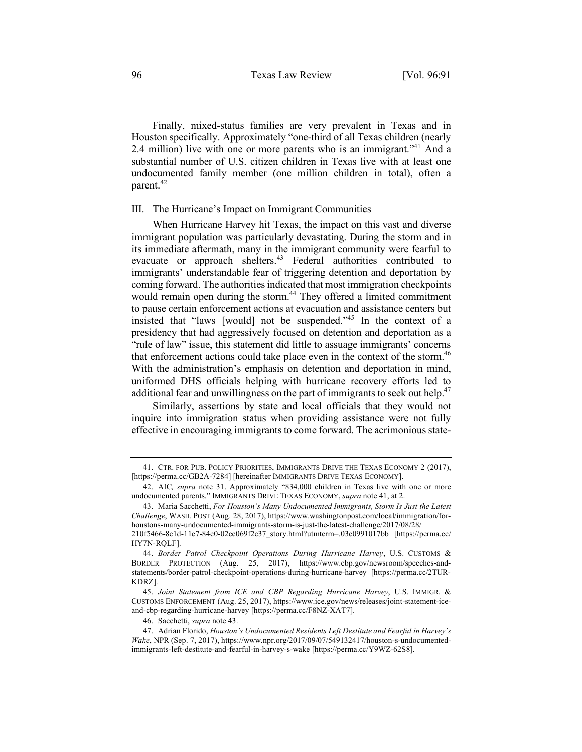Finally, mixed-status families are very prevalent in Texas and in Houston specifically. Approximately "one-third of all Texas children (nearly 2.4 million) live with one or more parents who is an immigrant.<sup>"41</sup> And a substantial number of U.S. citizen children in Texas live with at least one undocumented family member (one million children in total), often a parent.<sup>42</sup>

# III. The Hurricane's Impact on Immigrant Communities

When Hurricane Harvey hit Texas, the impact on this vast and diverse immigrant population was particularly devastating. During the storm and in its immediate aftermath, many in the immigrant community were fearful to evacuate or approach shelters.<sup>43</sup> Federal authorities contributed to immigrants' understandable fear of triggering detention and deportation by coming forward. The authorities indicated that most immigration checkpoints would remain open during the storm.<sup>44</sup> They offered a limited commitment to pause certain enforcement actions at evacuation and assistance centers but insisted that "laws [would] not be suspended."45 In the context of a presidency that had aggressively focused on detention and deportation as a "rule of law" issue, this statement did little to assuage immigrants' concerns that enforcement actions could take place even in the context of the storm.<sup>46</sup> With the administration's emphasis on detention and deportation in mind, uniformed DHS officials helping with hurricane recovery efforts led to additional fear and unwillingness on the part of immigrants to seek out help.<sup>47</sup>

Similarly, assertions by state and local officials that they would not inquire into immigration status when providing assistance were not fully effective in encouraging immigrants to come forward. The acrimonious state-

45. *Joint Statement from ICE and CBP Regarding Hurricane Harvey*, U.S. IMMIGR. & CUSTOMS ENFORCEMENT (Aug. 25, 2017), https://www.ice.gov/news/releases/joint-statement-iceand-cbp-regarding-hurricane-harvey [https://perma.cc/F8NZ-XAT7].

46. Sacchetti, *supra* note 43.

<sup>41.</sup> CTR. FOR PUB. POLICY PRIORITIES, IMMIGRANTS DRIVE THE TEXAS ECONOMY 2 (2017), [https://perma.cc/GB2A-7284] [hereinafter IMMIGRANTS DRIVE TEXAS ECONOMY].

<sup>42.</sup> AIC*, supra* note 31. Approximately "834,000 children in Texas live with one or more undocumented parents." IMMIGRANTS DRIVE TEXAS ECONOMY, *supra* note 41, at 2.

<sup>43.</sup> Maria Sacchetti, *For Houston's Many Undocumented Immigrants, Storm Is Just the Latest Challenge*, WASH. POST (Aug. 28, 2017), https://www.washingtonpost.com/local/immigration/forhoustons-many-undocumented-immigrants-storm-is-just-the-latest-challenge/2017/08/28/

<sup>210</sup>f5466-8c1d-11e7-84c0-02cc069f2c37\_story.html?utmterm=.03c0991017bb [https://perma.cc/ HY7N-RQLF].

<sup>44.</sup> *Border Patrol Checkpoint Operations During Hurricane Harvey*, U.S. CUSTOMS & BORDER PROTECTION (Aug. 25, 2017), https://www.cbp.gov/newsroom/speeches-andstatements/border-patrol-checkpoint-operations-during-hurricane-harvey [https://perma.cc/2TUR-KDRZ].

<sup>47.</sup> Adrian Florido, *Houston's Undocumented Residents Left Destitute and Fearful in Harvey's Wake*, NPR (Sep. 7, 2017), https://www.npr.org/2017/09/07/549132417/houston-s-undocumentedimmigrants-left-destitute-and-fearful-in-harvey-s-wake [https://perma.cc/Y9WZ-62S8].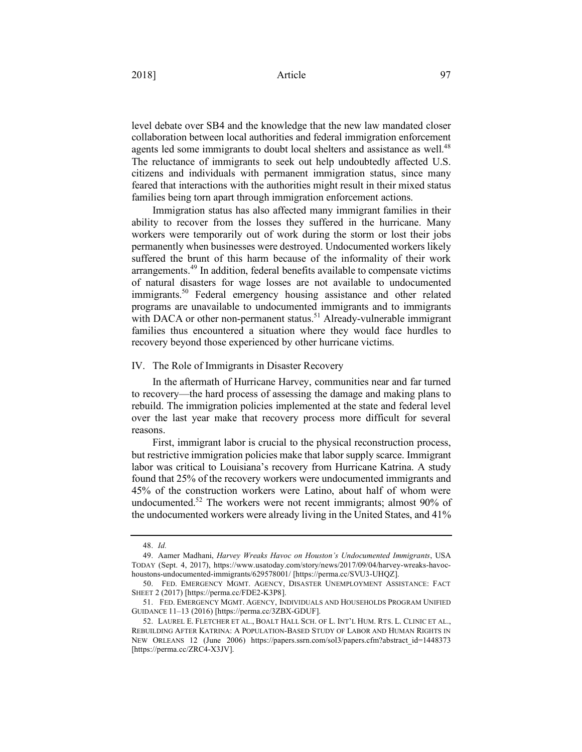## 2018] **Article** 97

level debate over SB4 and the knowledge that the new law mandated closer collaboration between local authorities and federal immigration enforcement agents led some immigrants to doubt local shelters and assistance as well.<sup>48</sup> The reluctance of immigrants to seek out help undoubtedly affected U.S. citizens and individuals with permanent immigration status, since many feared that interactions with the authorities might result in their mixed status families being torn apart through immigration enforcement actions.

Immigration status has also affected many immigrant families in their ability to recover from the losses they suffered in the hurricane. Many workers were temporarily out of work during the storm or lost their jobs permanently when businesses were destroyed. Undocumented workers likely suffered the brunt of this harm because of the informality of their work arrangements.<sup>49</sup> In addition, federal benefits available to compensate victims of natural disasters for wage losses are not available to undocumented immigrants.<sup>50</sup> Federal emergency housing assistance and other related programs are unavailable to undocumented immigrants and to immigrants with DACA or other non-permanent status.<sup>51</sup> Already-vulnerable immigrant families thus encountered a situation where they would face hurdles to recovery beyond those experienced by other hurricane victims.

#### IV. The Role of Immigrants in Disaster Recovery

In the aftermath of Hurricane Harvey, communities near and far turned to recovery—the hard process of assessing the damage and making plans to rebuild. The immigration policies implemented at the state and federal level over the last year make that recovery process more difficult for several reasons.

First, immigrant labor is crucial to the physical reconstruction process, but restrictive immigration policies make that labor supply scarce. Immigrant labor was critical to Louisiana's recovery from Hurricane Katrina. A study found that 25% of the recovery workers were undocumented immigrants and 45% of the construction workers were Latino, about half of whom were undocumented.<sup>52</sup> The workers were not recent immigrants; almost 90% of the undocumented workers were already living in the United States, and 41%

<sup>48.</sup> *Id.*

<sup>49.</sup> Aamer Madhani, *Harvey Wreaks Havoc on Houston's Undocumented Immigrants*, USA TODAY (Sept. 4, 2017), https://www.usatoday.com/story/news/2017/09/04/harvey-wreaks-havochoustons-undocumented-immigrants/629578001/ [https://perma.cc/SVU3-UHQZ].

<sup>50.</sup> FED. EMERGENCY MGMT. AGENCY, DISASTER UNEMPLOYMENT ASSISTANCE: FACT SHEET 2 (2017) [https://perma.cc/FDE2-K3P8].

<sup>51.</sup> FED. EMERGENCY MGMT. AGENCY, INDIVIDUALS AND HOUSEHOLDS PROGRAM UNIFIED GUIDANCE 11–13 (2016) [https://perma.cc/3ZBX-GDUF].

<sup>52.</sup> LAUREL E. FLETCHER ET AL., BOALT HALL SCH. OF L. INT'L HUM. RTS. L. CLINIC ET AL., REBUILDING AFTER KATRINA: A POPULATION-BASED STUDY OF LABOR AND HUMAN RIGHTS IN NEW ORLEANS 12 (June 2006) https://papers.ssrn.com/sol3/papers.cfm?abstract\_id=1448373 [https://perma.cc/ZRC4-X3JV].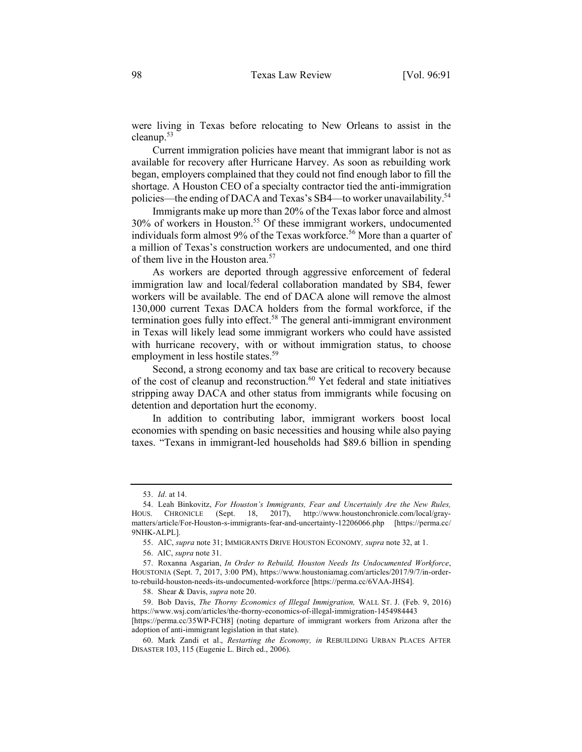were living in Texas before relocating to New Orleans to assist in the cleanup.<sup>53</sup>

Current immigration policies have meant that immigrant labor is not as available for recovery after Hurricane Harvey. As soon as rebuilding work began, employers complained that they could not find enough labor to fill the shortage. A Houston CEO of a specialty contractor tied the anti-immigration policies—the ending of DACA and Texas's SB4—to worker unavailability.<sup>54</sup>

Immigrants make up more than 20% of the Texas labor force and almost 30% of workers in Houston.55 Of these immigrant workers, undocumented individuals form almost 9% of the Texas workforce.<sup>56</sup> More than a quarter of a million of Texas's construction workers are undocumented, and one third of them live in the Houston area.<sup>57</sup>

As workers are deported through aggressive enforcement of federal immigration law and local/federal collaboration mandated by SB4, fewer workers will be available. The end of DACA alone will remove the almost 130,000 current Texas DACA holders from the formal workforce, if the termination goes fully into effect. <sup>58</sup> The general anti-immigrant environment in Texas will likely lead some immigrant workers who could have assisted with hurricane recovery, with or without immigration status, to choose employment in less hostile states.<sup>59</sup>

Second, a strong economy and tax base are critical to recovery because of the cost of cleanup and reconstruction.<sup>60</sup> Yet federal and state initiatives stripping away DACA and other status from immigrants while focusing on detention and deportation hurt the economy.

In addition to contributing labor, immigrant workers boost local economies with spending on basic necessities and housing while also paying taxes. "Texans in immigrant-led households had \$89.6 billion in spending

<sup>53.</sup> *Id*. at 14.

<sup>54.</sup> Leah Binkovitz, *For Houston's Immigrants, Fear and Uncertainly Are the New Rules,* HOUS. CHRONICLE (Sept. 18, 2017), http://www.houstonchronicle.com/local/graymatters/article/For-Houston-s-immigrants-fear-and-uncertainty-12206066.php [https://perma.cc/ 9NHK-ALPL].

<sup>55.</sup> AIC, *supra* note 31; IMMIGRANTS DRIVE HOUSTON ECONOMY*, supra* note 32, at 1.

<sup>56.</sup> AIC, *supra* note 31.

<sup>57.</sup> Roxanna Asgarian, *In Order to Rebuild, Houston Needs Its Undocumented Workforce*, HOUSTONIA (Sept. 7, 2017, 3:00 PM), https://www.houstoniamag.com/articles/2017/9/7/in-orderto-rebuild-houston-needs-its-undocumented-workforce [https://perma.cc/6VAA-JHS4].

<sup>58.</sup> Shear & Davis, *supra* note 20.

<sup>59.</sup> Bob Davis, *The Thorny Economics of Illegal Immigration,* WALL ST. J. (Feb. 9, 2016) https://www.wsj.com/articles/the-thorny-economics-of-illegal-immigration-1454984443

<sup>[</sup>https://perma.cc/35WP-FCH8] (noting departure of immigrant workers from Arizona after the adoption of anti-immigrant legislation in that state).

<sup>60.</sup> Mark Zandi et al., *Restarting the Economy, in* REBUILDING URBAN PLACES AFTER DISASTER 103, 115 (Eugenie L. Birch ed., 2006).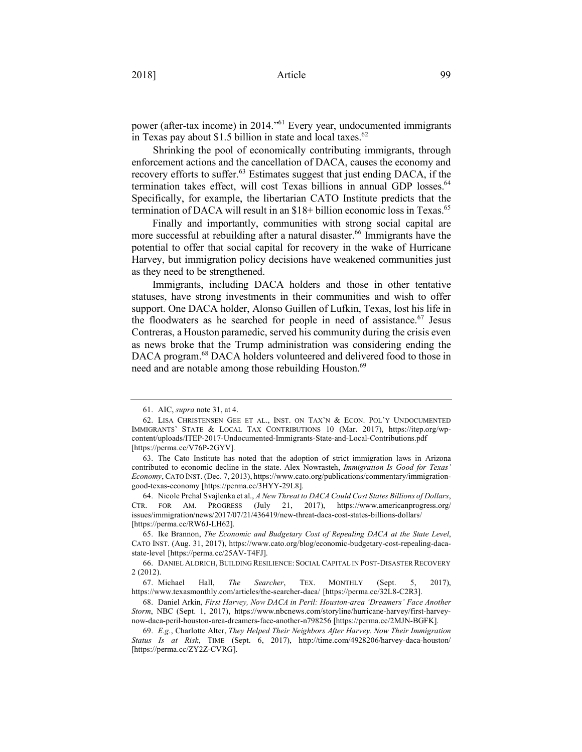power (after-tax income) in 2014."61 Every year, undocumented immigrants in Texas pay about \$1.5 billion in state and local taxes. $62$ 

Shrinking the pool of economically contributing immigrants, through enforcement actions and the cancellation of DACA, causes the economy and recovery efforts to suffer.<sup>63</sup> Estimates suggest that just ending DACA, if the termination takes effect, will cost Texas billions in annual GDP losses.<sup>64</sup> Specifically, for example, the libertarian CATO Institute predicts that the termination of DACA will result in an \$18+ billion economic loss in Texas.<sup>65</sup>

Finally and importantly, communities with strong social capital are more successful at rebuilding after a natural disaster.<sup>66</sup> Immigrants have the potential to offer that social capital for recovery in the wake of Hurricane Harvey, but immigration policy decisions have weakened communities just as they need to be strengthened.

Immigrants, including DACA holders and those in other tentative statuses, have strong investments in their communities and wish to offer support. One DACA holder, Alonso Guillen of Lufkin, Texas, lost his life in the floodwaters as he searched for people in need of assistance.<sup>67</sup> Jesus Contreras, a Houston paramedic, served his community during the crisis even as news broke that the Trump administration was considering ending the DACA program.<sup>68</sup> DACA holders volunteered and delivered food to those in need and are notable among those rebuilding Houston.<sup>69</sup>

<sup>61.</sup> AIC, *supra* note 31, at 4.

<sup>62.</sup> LISA CHRISTENSEN GEE ET AL., INST. ON TAX'N & ECON. POL'Y UNDOCUMENTED IMMIGRANTS' STATE & LOCAL TAX CONTRIBUTIONS 10 (Mar. 2017), https://itep.org/wpcontent/uploads/ITEP-2017-Undocumented-Immigrants-State-and-Local-Contributions.pdf [https://perma.cc/V76P-2GYV].

<sup>63.</sup> The Cato Institute has noted that the adoption of strict immigration laws in Arizona contributed to economic decline in the state. Alex Nowrasteh, *Immigration Is Good for Texas' Economy*, CATO INST. (Dec. 7, 2013), https://www.cato.org/publications/commentary/immigrationgood-texas-economy [https://perma.cc/3HYY-29L8].

<sup>64.</sup> Nicole Prchal Svajlenka et al., *A New Threat to DACA Could Cost States Billions of Dollars*, CTR. FOR AM. PROGRESS (July 21, 2017), https://www.americanprogress.org/ issues/immigration/news/2017/07/21/436419/new-threat-daca-cost-states-billions-dollars/ [https://perma.cc/RW6J-LH62].

<sup>65.</sup> Ike Brannon, *The Economic and Budgetary Cost of Repealing DACA at the State Level*, CATO INST. (Aug. 31, 2017), https://www.cato.org/blog/economic-budgetary-cost-repealing-dacastate-level [https://perma.cc/25AV-T4FJ].

<sup>66.</sup> DANIEL ALDRICH, BUILDING RESILIENCE: SOCIAL CAPITAL IN POST-DISASTER RECOVERY 2 (2012).

<sup>67.</sup> Michael Hall, *The Searcher*, TEX. MONTHLY (Sept. 5, 2017), https://www.texasmonthly.com/articles/the-searcher-daca/ [https://perma.cc/32L8-C2R3].

<sup>68.</sup> Daniel Arkin, *First Harvey, Now DACA in Peril: Houston-area 'Dreamers' Face Another Storm*, NBC (Sept. 1, 2017), https://www.nbcnews.com/storyline/hurricane-harvey/first-harveynow-daca-peril-houston-area-dreamers-face-another-n798256 [https://perma.cc/2MJN-BGFK].

<sup>69.</sup> *E.g.*, Charlotte Alter, *They Helped Their Neighbors After Harvey. Now Their Immigration Status Is at Risk*, TIME (Sept. 6, 2017), http://time.com/4928206/harvey-daca-houston/ [https://perma.cc/ZY2Z-CVRG].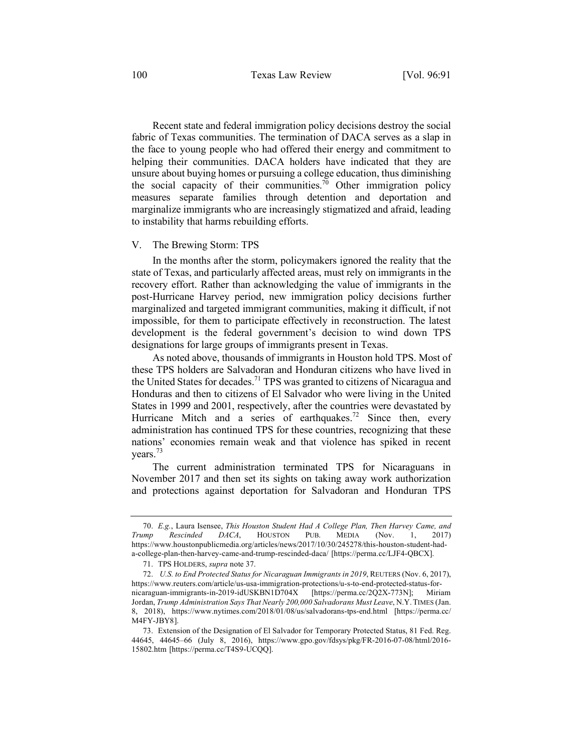Recent state and federal immigration policy decisions destroy the social fabric of Texas communities. The termination of DACA serves as a slap in the face to young people who had offered their energy and commitment to helping their communities. DACA holders have indicated that they are unsure about buying homes or pursuing a college education, thus diminishing the social capacity of their communities.<sup>70</sup> Other immigration policy measures separate families through detention and deportation and marginalize immigrants who are increasingly stigmatized and afraid, leading to instability that harms rebuilding efforts.

## V. The Brewing Storm: TPS

In the months after the storm, policymakers ignored the reality that the state of Texas, and particularly affected areas, must rely on immigrants in the recovery effort. Rather than acknowledging the value of immigrants in the post-Hurricane Harvey period, new immigration policy decisions further marginalized and targeted immigrant communities, making it difficult, if not impossible, for them to participate effectively in reconstruction. The latest development is the federal government's decision to wind down TPS designations for large groups of immigrants present in Texas.

As noted above, thousands of immigrants in Houston hold TPS. Most of these TPS holders are Salvadoran and Honduran citizens who have lived in the United States for decades.<sup>71</sup> TPS was granted to citizens of Nicaragua and Honduras and then to citizens of El Salvador who were living in the United States in 1999 and 2001, respectively, after the countries were devastated by Hurricane Mitch and a series of earthquakes.<sup>72</sup> Since then, every administration has continued TPS for these countries, recognizing that these nations' economies remain weak and that violence has spiked in recent years.<sup>73</sup>

The current administration terminated TPS for Nicaraguans in November 2017 and then set its sights on taking away work authorization and protections against deportation for Salvadoran and Honduran TPS

<sup>70.</sup> *E.g.*, Laura Isensee, *This Houston Student Had A College Plan, Then Harvey Came, and Trump Rescinded DACA*, HOUSTON PUB. MEDIA (Nov. 1, 2017) https://www.houstonpublicmedia.org/articles/news/2017/10/30/245278/this-houston-student-hada-college-plan-then-harvey-came-and-trump-rescinded-daca/ [https://perma.cc/LJF4-QBCX].

<sup>71.</sup> TPS HOLDERS, *supra* note 37.

<sup>72.</sup> *U.S. to End Protected Status for Nicaraguan Immigrants in 2019*, REUTERS (Nov. 6, 2017), https://www.reuters.com/article/us-usa-immigration-protections/u-s-to-end-protected-status-fornicaraguan-immigrants-in-2019-idUSKBN1D704X [https://perma.cc/2Q2X-773N]; Miriam Jordan, *Trump Administration Says That Nearly 200,000 Salvadorans Must Leave*, N.Y.TIMES (Jan. 8, 2018), https://www.nytimes.com/2018/01/08/us/salvadorans-tps-end.html [https://perma.cc/ M4FY-JBY8].

<sup>73.</sup> Extension of the Designation of El Salvador for Temporary Protected Status, 81 Fed. Reg. 44645, 44645–66 (July 8, 2016), https://www.gpo.gov/fdsys/pkg/FR-2016-07-08/html/2016- 15802.htm [https://perma.cc/T4S9-UCQQ].